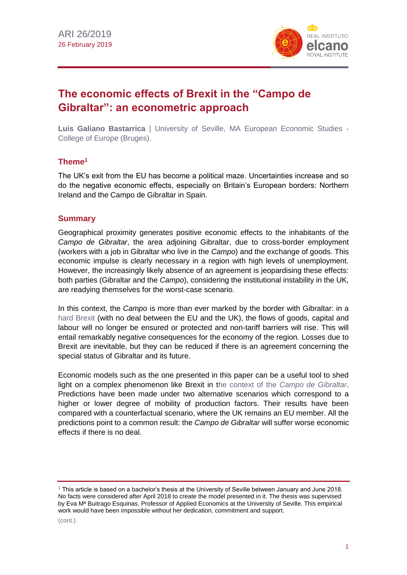

# **The economic effects of Brexit in the "Campo de Gibraltar": an econometric approach**

**Luis Galiano Bastarrica** | University of Seville, MA European Economic Studies - College of Europe (Bruges).

## **Theme<sup>1</sup>**

The UK's exit from the EU has become a political maze. Uncertainties increase and so do the negative economic effects, especially on Britain's European borders: Northern Ireland and the Campo de Gibraltar in Spain.

#### **Summary**

Geographical proximity generates positive economic effects to the inhabitants of the *Campo de Gibraltar*, the area adjoining Gibraltar, due to cross-border employment (workers with a job in Gibraltar who live in the *Campo*) and the exchange of goods. This economic impulse is clearly necessary in a region with high levels of unemployment. However, the increasingly likely absence of an agreement is jeopardising these effects: both parties (Gibraltar and the *Campo*), considering the institutional instability in the UK, are readying themselves for the worst-case scenario.

In this context, the *Campo* is more than ever marked by the border with Gibraltar: in a [hard Brexit](https://blog.realinstitutoelcano.org/en/britain-devoid-of-a-project/) (with no deal between the EU and the UK), the flows of goods, capital and labour will no longer be ensured or protected and non-tariff barriers will rise. This will entail remarkably negative consequences for the economy of the region. Losses due to Brexit are inevitable, but they can be reduced if there is an agreement concerning the special status of Gibraltar and its future.

Economic models such as the one presented in this paper can be a useful tool to shed light on a complex phenomenon like Brexit in the context of the *[Campo de Gibraltar](http://www.mancomunidadcg.es/)*. Predictions have been made under two alternative scenarios which correspond to a higher or lower degree of mobility of production factors. Their results have been compared with a counterfactual scenario, where the UK remains an EU member. All the predictions point to a common result: the *Campo de Gibraltar* will suffer worse economic effects if there is no deal.

<sup>1</sup> This article is based on a bachelor's thesis at the University of Seville between January and June 2018. No facts were considered after April 2018 to create the model presented in it. The thesis was supervised by Eva Mª Buitrago Esquinas, Professor of Applied Economics at the University of Seville. This empirical work would have been impossible without her dedication, commitment and support.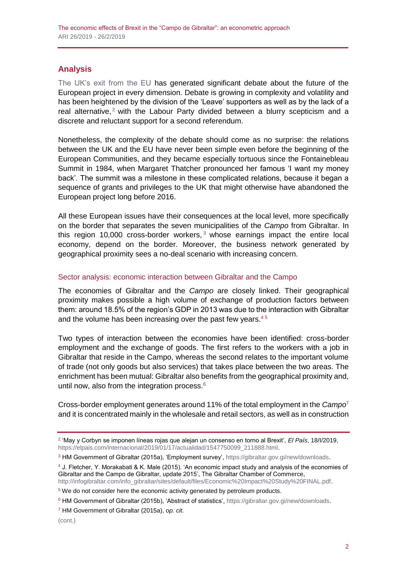# **Analysis**

[The UK's exit from the EU](https://especiales.realinstitutoelcano.org/brexit/) has generated significant debate about the future of the European project in every dimension. Debate is growing in complexity and volatility and has been heightened by the division of the 'Leave' supporters as well as by the lack of a real alternative,<sup>2</sup> with the Labour Party divided between a blurry scepticism and a discrete and reluctant support for a second referendum.

Nonetheless, the complexity of the debate should come as no surprise: the relations between the UK and the EU have never been simple even before the beginning of the European Communities, and they became especially tortuous since the Fontainebleau Summit in 1984, when Margaret Thatcher pronounced her famous 'I want my money back'. The summit was a milestone in these complicated relations, because it began a sequence of grants and privileges to the UK that might otherwise have abandoned the European project long before 2016.

All these European issues have their consequences at the local level, more specifically on the border that separates the seven municipalities of the *Campo* from Gibraltar. In this region 10,000 cross-border workers,  $3$  whose earnings impact the entire local economy, depend on the border. Moreover, the business network generated by geographical proximity sees a no-deal scenario with increasing concern.

#### Sector analysis: economic interaction between Gibraltar and the Campo

The economies of Gibraltar and the *Campo* are closely linked. Their geographical proximity makes possible a high volume of exchange of production factors between them: around 18.5% of the region's GDP in 2013 was due to the interaction with Gibraltar and the volume has been increasing over the past few years.<sup>45</sup>

Two types of interaction between the economies have been identified: cross-border employment and the exchange of goods. The first refers to the workers with a job in Gibraltar that reside in the Campo, whereas the second relates to the important volume of trade (not only goods but also services) that takes place between the two areas. The enrichment has been mutual: Gibraltar also benefits from the geographical proximity and, until now, also from the integration process. $6$ 

Cross-border employment generates around 11% of the total employment in the *Campo*<sup>7</sup> and it is concentrated mainly in the wholesale and retail sectors, as well as in construction

<sup>2</sup> 'May y Corbyn se imponen líneas rojas que alejan un consenso en torno al Brexit', *El País*, 18/I/2019, [https://elpais.com/internacional/2019/01/17/actualidad/1547750099\\_211888.html.](https://elpais.com/internacional/2019/01/17/actualidad/1547750099_211888.html)

<sup>3</sup> HM Government of Gibraltar (2015a), 'Employment survey', [https://gibraltar.gov.gi/new/downloads.](https://gibraltar.gov.gi/new/downloads)

<sup>4</sup> J. Fletcher, Y. Morakabati & K. Male (2015). 'An economic impact study and analysis of the economies of Gibraltar and the Campo de Gibraltar, update 2015', The Gibraltar Chamber of Commerce, [http://infogibraltar.com/info\\_gibraltar/sites/default/files/Economic%20Impact%20Study%20FINAL.pdf.](http://infogibraltar.com/info_gibraltar/sites/default/files/Economic%20Impact%20Study%20FINAL.pdf)

 $5$  We do not consider here the economic activity generated by petroleum products.

<sup>&</sup>lt;sup>6</sup> HM Government of Gibraltar (2015b), 'Abstract of statistics', [https://gibraltar.gov.gi/new/downloads.](https://gibraltar.gov.gi/new/downloads)

<sup>7</sup> HM Government of Gibraltar (2015a), *op. cit*.

<sup>(</sup>cont.)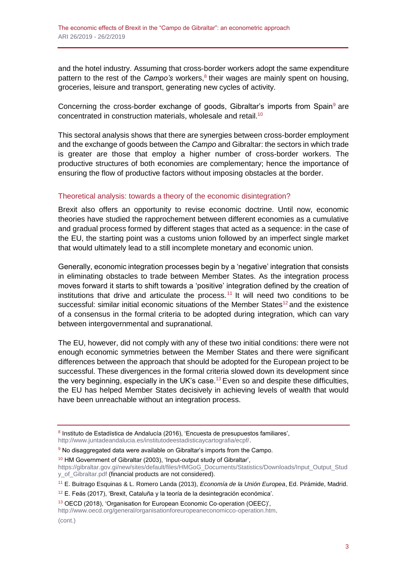and the hotel industry. Assuming that cross-border workers adopt the same expenditure pattern to the rest of the *Campo's* workers,<sup>8</sup> their wages are mainly spent on housing, groceries, leisure and transport, generating new cycles of activity.

Concerning the cross-border exchange of goods, Gibraltar's imports from Spain<sup>9</sup> are concentrated in construction materials, wholesale and retail.<sup>10</sup>

This sectoral analysis shows that there are synergies between cross-border employment and the exchange of goods between the *Campo* and Gibraltar: the sectors in which trade is greater are those that employ a higher number of cross-border workers. The productive structures of both economies are complementary; hence the importance of ensuring the flow of productive factors without imposing obstacles at the border.

#### Theoretical analysis: towards a theory of the economic disintegration?

Brexit also offers an opportunity to revise economic doctrine. Until now, economic theories have studied the rapprochement between different economies as a cumulative and gradual process formed by different stages that acted as a sequence: in the case of the EU, the starting point was a customs union followed by an imperfect single market that would ultimately lead to a still incomplete monetary and economic union.

Generally, economic integration processes begin by a 'negative' integration that consists in eliminating obstacles to trade between Member States. As the integration process moves forward it starts to shift towards a 'positive' integration defined by the creation of institutions that drive and articulate the process.<sup>11</sup> It will need two conditions to be successful: similar initial economic situations of the Member States<sup>12</sup> and the existence of a consensus in the formal criteria to be adopted during integration, which can vary between intergovernmental and supranational.

The EU, however, did not comply with any of these two initial conditions: there were not enough economic symmetries between the Member States and there were significant differences between the approach that should be adopted for the European project to be successful. These divergences in the formal criteria slowed down its development since the very beginning, especially in the UK's case.<sup>13</sup> Even so and despite these difficulties, the EU has helped Member States decisively in achieving levels of wealth that would have been unreachable without an integration process.

<sup>8</sup> Instituto de Estadística de Andalucía (2016), 'Encuesta de presupuestos familiares', [http://www.juntadeandalucia.es/institutodeestadisticaycartografia/ecpf/.](http://www.juntadeandalucia.es/institutodeestadisticaycartografia/ecpf/)

<sup>&</sup>lt;sup>9</sup> No disaggregated data were available on Gibraltar's imports from the Campo.

<sup>10</sup> HM Government of Gibraltar (2003), 'Input-output study of Gibraltar',

[https://gibraltar.gov.gi/new/sites/default/files/HMGoG\\_Documents/Statistics/Downloads/Input\\_Output\\_Stud](https://gibraltar.gov.gi/new/sites/default/files/HMGoG_Documents/Statistics/Downloads/Input_Output_Study_of_Gibraltar.pdf) [y\\_of\\_Gibraltar.pdf](https://gibraltar.gov.gi/new/sites/default/files/HMGoG_Documents/Statistics/Downloads/Input_Output_Study_of_Gibraltar.pdf) (financial products are not considered).

<sup>11</sup> E. Buitrago Esquinas & L. Romero Landa (2013), *Economía de la Unión Europea*, Ed. Pirámide, Madrid.

<sup>&</sup>lt;sup>12</sup> E. Feás (2017), 'Brexit, Cataluña y la teoría de la desintegración económica'.

<sup>13</sup> OECD (2018), 'Organisation for European Economic Co-operation (OEEC)',

[http://www.oecd.org/general/organisationforeuropeaneconomicco-operation.htm.](http://www.oecd.org/general/organisationforeuropeaneconomicco-operation.htm)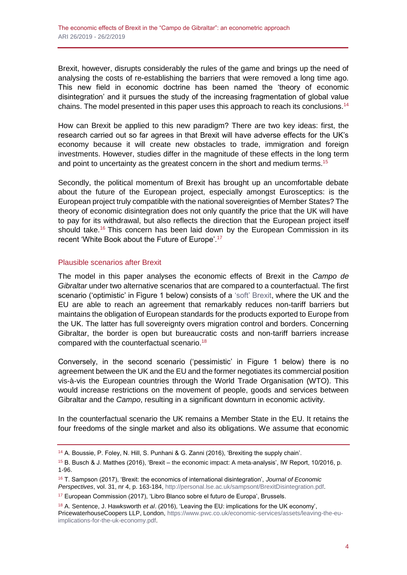Brexit, however, disrupts considerably the rules of the game and brings up the need of analysing the costs of re-establishing the barriers that were removed a long time ago. This new field in economic doctrine has been named the 'theory of economic disintegration' and it pursues the study of the increasing fragmentation of global value chains. The model presented in this paper uses this approach to reach its conclusions.<sup>14</sup>

How can Brexit be applied to this new paradigm? There are two key ideas: first, the research carried out so far agrees in that Brexit will have adverse effects for the UK's economy because it will create new obstacles to trade, immigration and foreign investments. However, studies differ in the magnitude of these effects in the long term and point to uncertainty as the greatest concern in the short and medium terms.<sup>15</sup>

Secondly, the political momentum of Brexit has brought up an uncomfortable debate about the future of the European project, especially amongst Eurosceptics: is the European project truly compatible with the national sovereignties of Member States? The theory of economic disintegration does not only quantify the price that the UK will have to pay for its withdrawal, but also reflects the direction that the European project itself should take.<sup>16</sup> This concern has been laid down by the European Commission in its recent 'White Book about the Future of Europe'.<sup>17</sup>

#### Plausible scenarios after Brexit

The model in this paper analyses the economic effects of Brexit in the *Campo de Gibraltar* under two alternative scenarios that are compared to a counterfactual. The first scenario ('optimistic' in Figure 1 below) consists of a ['soft' Brexit,](http://www.realinstitutoelcano.org/wps/portal/rielcano_en/contenido?WCM_GLOBAL_CONTEXT=/elcano/elcano_in/zonas_in/ari27-2017-chislett-why-spain-would-like-soft-brexit-uk) where the UK and the EU are able to reach an agreement that remarkably reduces non-tariff barriers but maintains the obligation of European standards for the products exported to Europe from the UK. The latter has full sovereignty overs migration control and borders. Concerning Gibraltar, the border is open but bureaucratic costs and non-tariff barriers increase compared with the counterfactual scenario.<sup>18</sup>

Conversely, in the second scenario ('pessimistic' in Figure 1 below) there is no agreement between the UK and the EU and the former negotiates its commercial position vis-à-vis the European countries through the World Trade Organisation (WTO). This would increase restrictions on the movement of people, goods and services between Gibraltar and the *Campo*, resulting in a significant downturn in economic activity.

In the counterfactual scenario the UK remains a Member State in the EU. It retains the four freedoms of the single market and also its obligations. We assume that economic

<sup>14</sup> A. Boussie, P. Foley, N. Hill, S. Punhani & G. Zanni (2016), 'Brexiting the supply chain'.

<sup>15</sup> B. Busch & J. Matthes (2016), 'Brexit – the economic impact: A meta-analysis', IW Report, 10/2016, p. 1-96.

<sup>16</sup> T. Sampson (2017), 'Brexit: the economics of international disintegration', *Journal of Economic Perspectives*, vol. 31, nr 4, p. 163-184[, http://personal.lse.ac.uk/sampsont/BrexitDisintegration.pdf.](http://personal.lse.ac.uk/sampsont/BrexitDisintegration.pdf)

<sup>&</sup>lt;sup>17</sup> European Commission (2017), 'Libro Blanco sobre el futuro de Europa', Brussels.

<sup>18</sup> A. Sentence, J. Hawksworth *et al*. (2016), 'Leaving the EU: implications for the UK economy', PricewaterhouseCoopers LLP, London[, https://www.pwc.co.uk/economic-services/assets/leaving-the-eu](https://www.pwc.co.uk/economic-services/assets/leaving-the-eu-implications-for-the-uk-economy.pdf)[implications-for-the-uk-economy.pdf.](https://www.pwc.co.uk/economic-services/assets/leaving-the-eu-implications-for-the-uk-economy.pdf)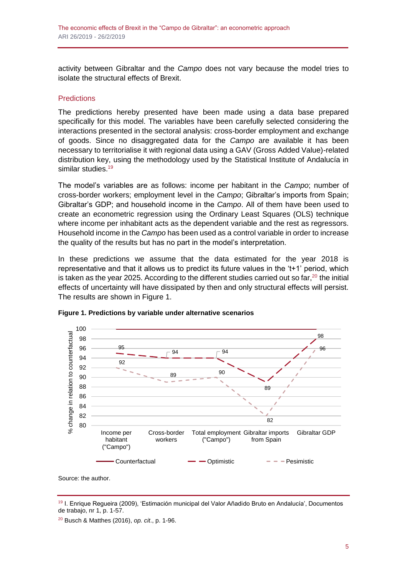activity between Gibraltar and the *Campo* does not vary because the model tries to isolate the structural effects of Brexit.

#### **Predictions**

The predictions hereby presented have been made using a data base prepared specifically for this model. The variables have been carefully selected considering the interactions presented in the sectoral analysis: cross-border employment and exchange of goods. Since no disaggregated data for the *Campo* are available it has been necessary to territorialise it with regional data using a GAV (Gross Added Value)-related distribution key, using the methodology used by the Statistical Institute of Andalucía in similar studies.<sup>19</sup>

The model's variables are as follows: income per habitant in the *Campo*; number of cross-border workers; employment level in the *Campo*; Gibraltar's imports from Spain; Gibraltar's GDP; and household income in the *Campo*. All of them have been used to create an econometric regression using the Ordinary Least Squares (OLS) technique where income per inhabitant acts as the dependent variable and the rest as regressors. Household income in the *Campo* has been used as a control variable in order to increase the quality of the results but has no part in the model's interpretation.

In these predictions we assume that the data estimated for the year 2018 is representative and that it allows us to predict its future values in the 't+1' period, which is taken as the year 2025. According to the different studies carried out so far, $^{20}$  the initial effects of uncertainty will have dissipated by then and only structural effects will persist. The results are shown in Figure 1.



**Figure 1. Predictions by variable under alternative scenarios**

Source: the author.

<sup>19</sup> I. Enrique Regueira (2009), 'Estimación municipal del Valor Añadido Bruto en Andalucía', Documentos de trabajo, nr 1, p. 1-57.

<sup>20</sup> Busch & Matthes (2016), *op. cit*., p. 1-96.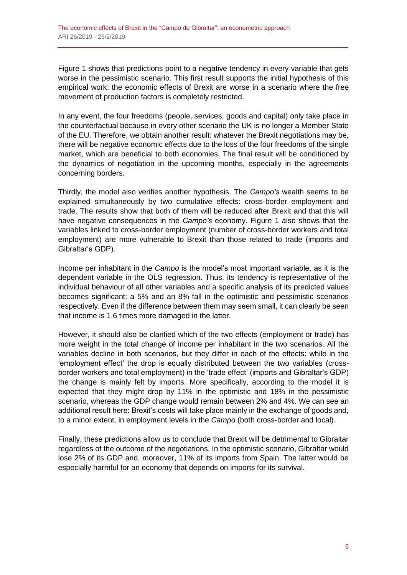Figure 1 shows that predictions point to a negative tendency in every variable that gets worse in the pessimistic scenario. This first result supports the initial hypothesis of this empirical work: the economic effects of Brexit are worse in a scenario where the free movement of production factors is completely restricted.

In any event, the four freedoms (people, services, goods and capital) only take place in the counterfactual because in every other scenario the UK is no longer a Member State of the EU. Therefore, we obtain another result: whatever the Brexit negotiations may be, there will be negative economic effects due to the loss of the four freedoms of the single market, which are beneficial to both economies. The final result will be conditioned by the dynamics of negotiation in the upcoming months, especially in the agreements concerning borders.

Thirdly, the model also verifies another hypothesis. The *Campo's* wealth seems to be explained simultaneously by two cumulative effects: cross-border employment and trade. The results show that both of them will be reduced after Brexit and that this will have negative consequences in the *Campo's* economy. Figure 1 also shows that the variables linked to cross-border employment (number of cross-border workers and total employment) are more vulnerable to Brexit than those related to trade (imports and Gibraltar's GDP).

Income per inhabitant in the *Campo* is the model's most important variable, as it is the dependent variable in the OLS regression. Thus, its tendency is representative of the individual behaviour of all other variables and a specific analysis of its predicted values becomes significant: a 5% and an 8% fall in the optimistic and pessimistic scenarios respectively. Even if the difference between them may seem small, it can clearly be seen that income is 1.6 times more damaged in the latter.

However, it should also be clarified which of the two effects (employment or trade) has more weight in the total change of income per inhabitant in the two scenarios. All the variables decline in both scenarios, but they differ in each of the effects: while in the 'employment effect' the drop is equally distributed between the two variables (crossborder workers and total employment) in the 'trade effect' (imports and Gibraltar's GDP) the change is mainly felt by imports. More specifically, according to the model it is expected that they might drop by 11% in the optimistic and 18% in the pessimistic scenario, whereas the GDP change would remain between 2% and 4%. We can see an additional result here: Brexit's costs will take place mainly in the exchange of goods and, to a minor extent, in employment levels in the *Campo* (both cross-border and local).

Finally, these predictions allow us to conclude that Brexit will be detrimental to Gibraltar regardless of the outcome of the negotiations. In the optimistic scenario, Gibraltar would lose 2% of its GDP and, moreover, 11% of its imports from Spain. The latter would be especially harmful for an economy that depends on imports for its survival.